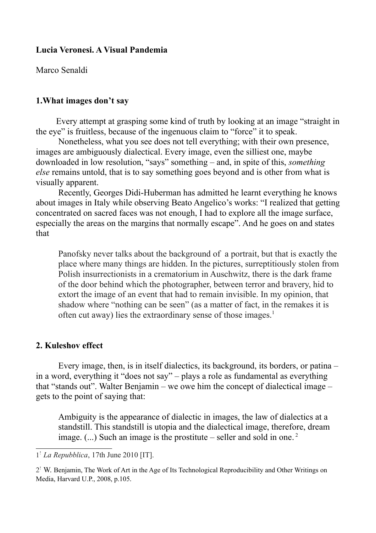## **Lucia Veronesi. A Visual Pandemia**

Marco Senaldi

## **1.What images don't say**

 Every attempt at grasping some kind of truth by looking at an image "straight in the eye" is fruitless, because of the ingenuous claim to "force" it to speak.

Nonetheless, what you see does not tell everything; with their own presence, images are ambiguously dialectical. Every image, even the silliest one, maybe downloaded in low resolution, "says" something – and, in spite of this, *something else* remains untold, that is to say something goes beyond and is other from what is visually apparent.

Recently, Georges Didi-Huberman has admitted he learnt everything he knows about images in Italy while observing Beato Angelico's works: "I realized that getting concentrated on sacred faces was not enough, I had to explore all the image surface, especially the areas on the margins that normally escape". And he goes on and states that

Panofsky never talks about the background of a portrait, but that is exactly the place where many things are hidden. In the pictures, surreptitiously stolen from Polish insurrectionists in a crematorium in Auschwitz, there is the dark frame of the door behind which the photographer, between terror and bravery, hid to extort the image of an event that had to remain invisible. In my opinion, that shadow where "nothing can be seen" (as a matter of fact, in the remakes it is often cut away) lies the extraordinary sense of those images.<sup>[1](#page-0-0)</sup>

## **2. Kuleshov effect**

Every image, then, is in itself dialectics, its background, its borders, or patina – in a word, everything it "does not say" – plays a role as fundamental as everything that "stands out". Walter Benjamin – we owe him the concept of dialectical image – gets to the point of saying that:

Ambiguity is the appearance of dialectic in images, the law of dialectics at a standstill. This standstill is utopia and the dialectical image, therefore, dream image. (...) Such an image is the prostitute – seller and sold in one. [2](#page-0-1)

<span id="page-0-0"></span><sup>1</sup> - *La Repubblica*, 17th June 2010 [IT].

<span id="page-0-1"></span><sup>2&</sup>lt;sup>!</sup> W. Benjamin, The Work of Art in the Age of Its Technological Reproducibility and Other Writings on Media, Harvard U.P., 2008, p.105.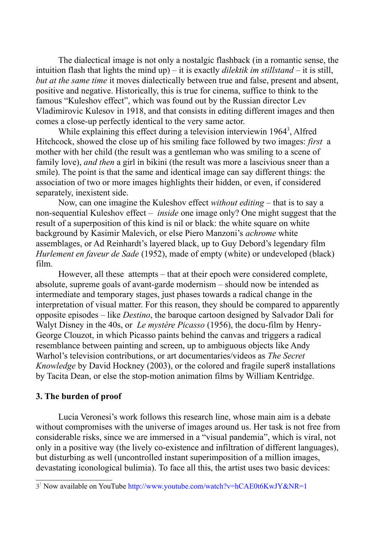The dialectical image is not only a nostalgic flashback (in a romantic sense, the intuition flash that lights the mind up) – it is exactly *dilektik im stillstand –* it is still, *but at the same time* it moves dialectically between true and false, present and absent, positive and negative. Historically, this is true for cinema, suffice to think to the famous "Kuleshov effect", which was found out by the Russian director Lev Vladimirovic Kulesov in 1918, and that consists in editing different images and then comes a close-up perfectly identical to the very same actor.

While explaining this effect during a television interviewin 1964<sup>[3](#page-1-0)</sup>, Alfred Hitchcock, showed the close up of his smiling face followed by two images: *first* a mother with her child (the result was a gentleman who was smiling to a scene of family love), *and then* a girl in bikini (the result was more a lascivious sneer than a smile). The point is that the same and identical image can say different things: the association of two or more images highlights their hidden, or even, if considered separately, inexistent side.

Now, can one imagine the Kuleshov effect *without editing* – that is to say a non-sequential Kuleshov effect – *inside* one image only? One might suggest that the result of a superposition of this kind is nil or black: the white square on white background by Kasimir Malevich, or else Piero Manzoni's *achrome* white assemblages, or Ad Reinhardt's layered black, up to Guy Debord's legendary film *Hurlement en faveur de Sade* (1952), made of empty (white) or undeveloped (black) film.

However, all these attempts – that at their epoch were considered complete, absolute, supreme goals of avant-garde modernism – should now be intended as intermediate and temporary stages, just phases towards a radical change in the interpretation of visual matter. For this reason, they should be compared to apparently opposite episodes – like *Destino*, the baroque cartoon designed by Salvador Dalì for Walyt Disney in the 40s, or *Le mystére Picasso* (1956), the docu-film by Henry-George Clouzot, in which Picasso paints behind the canvas and triggers a radical resemblance between painting and screen, up to ambiguous objects like Andy Warhol's television contributions, or art documentaries/videos as *The Secret Knowledge* by David Hockney (2003), or the colored and fragile super8 installations by Tacita Dean, or else the stop-motion animation films by William Kentridge.

## **3. The burden of proof**

Lucia Veronesi's work follows this research line, whose main aim is a debate without compromises with the universe of images around us. Her task is not free from considerable risks, since we are immersed in a "visual pandemia", which is viral, not only in a positive way (the lively co-existence and infiltration of different languages), but disturbing as well (uncontrolled instant superimposition of a million images, devastating iconological bulimia). To face all this, the artist uses two basic devices:

<span id="page-1-0"></span><sup>3&</sup>lt;sup>!</sup> Now available on YouTube http://www.youtube.com/watch?v=hCAE0t6KwJY&NR=1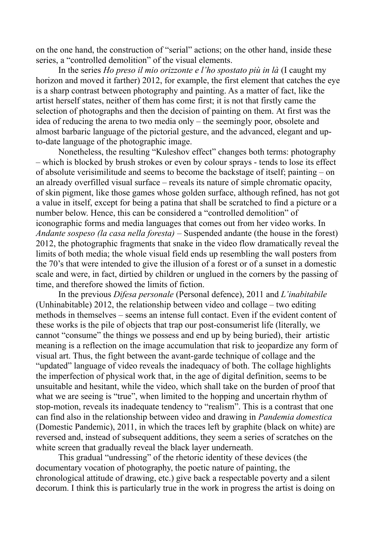on the one hand, the construction of "serial" actions; on the other hand, inside these series, a "controlled demolition" of the visual elements.

In the series *Ho preso il mio orizzonte e l'ho spostato più in là* (I caught my horizon and moved it farther) 2012, for example, the first element that catches the eye is a sharp contrast between photography and painting. As a matter of fact, like the artist herself states, neither of them has come first; it is not that firstly came the selection of photographs and then the decision of painting on them. At first was the idea of reducing the arena to two media only – the seemingly poor, obsolete and almost barbaric language of the pictorial gesture, and the advanced, elegant and upto-date language of the photographic image.

Nonetheless, the resulting "Kuleshov effect" changes both terms: photography – which is blocked by brush strokes or even by colour sprays - tends to lose its effect of absolute verisimilitude and seems to become the backstage of itself; painting – on an already overfilled visual surface – reveals its nature of simple chromatic opacity, of skin pigment, like those games whose golden surface, although refined, has not got a value in itself, except for being a patina that shall be scratched to find a picture or a number below. Hence, this can be considered a "controlled demolition" of iconographic forms and media languages that comes out from her video works. In *Andante sospeso (la casa nella foresta)* – Suspended andante (the house in the forest) 2012, the photographic fragments that snake in the video flow dramatically reveal the limits of both media; the whole visual field ends up resembling the wall posters from the 70's that were intended to give the illusion of a forest or of a sunset in a domestic scale and were, in fact, dirtied by children or unglued in the corners by the passing of time, and therefore showed the limits of fiction.

In the previous *Difesa personale* (Personal defence), 2011 and *L'inabitabile* (Unhinabitable) 2012, the relationship between video and collage – two editing methods in themselves – seems an intense full contact. Even if the evident content of these works is the pile of objects that trap our post-consumerist life (literally, we cannot "consume" the things we possess and end up by being buried), their artistic meaning is a reflection on the image accumulation that risk to jeopardize any form of visual art. Thus, the fight between the avant-garde technique of collage and the "updated" language of video reveals the inadequacy of both. The collage highlights the imperfection of physical work that, in the age of digital definition, seems to be unsuitable and hesitant, while the video, which shall take on the burden of proof that what we are seeing is "true", when limited to the hopping and uncertain rhythm of stop-motion, reveals its inadequate tendency to "realism". This is a contrast that one can find also in the relationship between video and drawing in *Pandemia domestica* (Domestic Pandemic), 2011, in which the traces left by graphite (black on white) are reversed and, instead of subsequent additions, they seem a series of scratches on the white screen that gradually reveal the black layer underneath.

This gradual "undressing" of the rhetoric identity of these devices (the documentary vocation of photography, the poetic nature of painting, the chronological attitude of drawing, etc.) give back a respectable poverty and a silent decorum. I think this is particularly true in the work in progress the artist is doing on